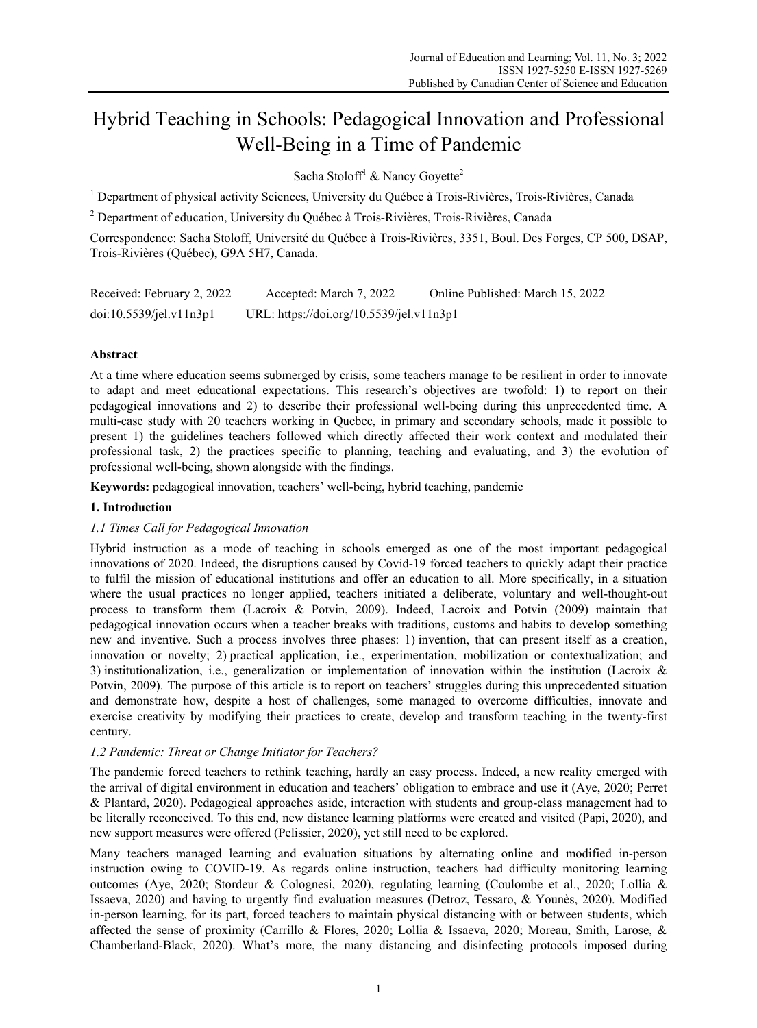# Hybrid Teaching in Schools: Pedagogical Innovation and Professional Well-Being in a Time of Pandemic

Sacha Stoloff<sup>1</sup> & Nancy Goyette<sup>2</sup>

<sup>1</sup> Department of physical activity Sciences, University du Québec à Trois-Rivières, Trois-Rivières, Canada

<sup>2</sup> Department of education, University du Québec à Trois-Rivières, Trois-Rivières, Canada

Correspondence: Sacha Stoloff, Université du Québec à Trois-Rivières, 3351, Boul. Des Forges, CP 500, DSAP, Trois-Rivières (Québec), G9A 5H7, Canada.

| Received: February 2, 2022 | Accepted: March 7, 2022                  | Online Published: March 15, 2022 |
|----------------------------|------------------------------------------|----------------------------------|
| doi:10.5539/jel.v11n3p1    | URL: https://doi.org/10.5539/jel.v11n3p1 |                                  |

# **Abstract**

At a time where education seems submerged by crisis, some teachers manage to be resilient in order to innovate to adapt and meet educational expectations. This research's objectives are twofold: 1) to report on their pedagogical innovations and 2) to describe their professional well-being during this unprecedented time. A multi-case study with 20 teachers working in Quebec, in primary and secondary schools, made it possible to present 1) the guidelines teachers followed which directly affected their work context and modulated their professional task, 2) the practices specific to planning, teaching and evaluating, and 3) the evolution of professional well-being, shown alongside with the findings.

**Keywords:** pedagogical innovation, teachers' well-being, hybrid teaching, pandemic

## **1. Introduction**

### *1.1 Times Call for Pedagogical Innovation*

Hybrid instruction as a mode of teaching in schools emerged as one of the most important pedagogical innovations of 2020. Indeed, the disruptions caused by Covid-19 forced teachers to quickly adapt their practice to fulfil the mission of educational institutions and offer an education to all. More specifically, in a situation where the usual practices no longer applied, teachers initiated a deliberate, voluntary and well-thought-out process to transform them (Lacroix & Potvin, 2009). Indeed, Lacroix and Potvin (2009) maintain that pedagogical innovation occurs when a teacher breaks with traditions, customs and habits to develop something new and inventive. Such a process involves three phases: 1) invention, that can present itself as a creation, innovation or novelty; 2) practical application, i.e., experimentation, mobilization or contextualization; and 3) institutionalization, i.e., generalization or implementation of innovation within the institution (Lacroix  $\&$ Potvin, 2009). The purpose of this article is to report on teachers' struggles during this unprecedented situation and demonstrate how, despite a host of challenges, some managed to overcome difficulties, innovate and exercise creativity by modifying their practices to create, develop and transform teaching in the twenty-first century.

### *1.2 Pandemic: Threat or Change Initiator for Teachers?*

The pandemic forced teachers to rethink teaching, hardly an easy process. Indeed, a new reality emerged with the arrival of digital environment in education and teachers' obligation to embrace and use it (Aye, 2020; Perret & Plantard, 2020). Pedagogical approaches aside, interaction with students and group-class management had to be literally reconceived. To this end, new distance learning platforms were created and visited (Papi, 2020), and new support measures were offered (Pelissier, 2020), yet still need to be explored.

Many teachers managed learning and evaluation situations by alternating online and modified in-person instruction owing to COVID-19. As regards online instruction, teachers had difficulty monitoring learning outcomes (Aye, 2020; Stordeur & Colognesi, 2020), regulating learning (Coulombe et al., 2020; Lollia & Issaeva, 2020) and having to urgently find evaluation measures (Detroz, Tessaro, & Younès, 2020). Modified in-person learning, for its part, forced teachers to maintain physical distancing with or between students, which affected the sense of proximity (Carrillo & Flores, 2020; Lollia & Issaeva, 2020; Moreau, Smith, Larose, & Chamberland-Black, 2020). What's more, the many distancing and disinfecting protocols imposed during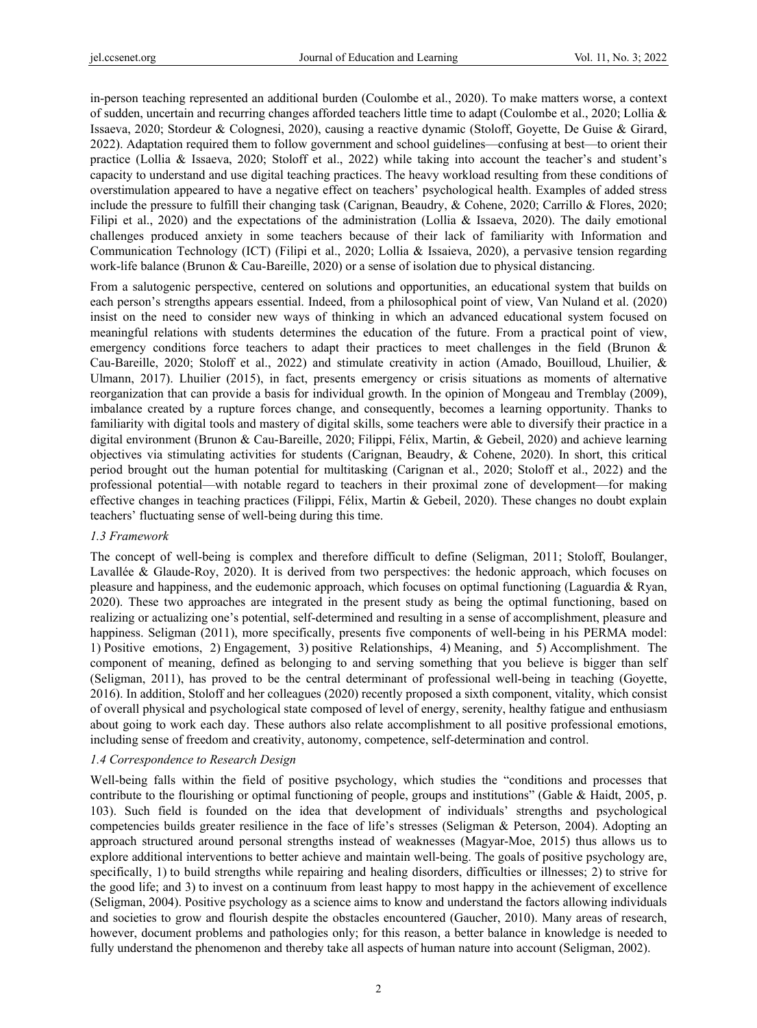in-person teaching represented an additional burden (Coulombe et al., 2020). To make matters worse, a context of sudden, uncertain and recurring changes afforded teachers little time to adapt (Coulombe et al., 2020; Lollia & Issaeva, 2020; Stordeur & Colognesi, 2020), causing a reactive dynamic (Stoloff, Goyette, De Guise & Girard, 2022). Adaptation required them to follow government and school guidelines—confusing at best—to orient their practice (Lollia & Issaeva, 2020; Stoloff et al., 2022) while taking into account the teacher's and student's capacity to understand and use digital teaching practices. The heavy workload resulting from these conditions of overstimulation appeared to have a negative effect on teachers' psychological health. Examples of added stress include the pressure to fulfill their changing task (Carignan, Beaudry, & Cohene, 2020; Carrillo & Flores, 2020; Filipi et al., 2020) and the expectations of the administration (Lollia & Issaeva, 2020). The daily emotional challenges produced anxiety in some teachers because of their lack of familiarity with Information and Communication Technology (ICT) (Filipi et al., 2020; Lollia & Issaieva, 2020), a pervasive tension regarding work-life balance (Brunon & Cau-Bareille, 2020) or a sense of isolation due to physical distancing.

From a salutogenic perspective, centered on solutions and opportunities, an educational system that builds on each person's strengths appears essential. Indeed, from a philosophical point of view, Van Nuland et al. (2020) insist on the need to consider new ways of thinking in which an advanced educational system focused on meaningful relations with students determines the education of the future. From a practical point of view, emergency conditions force teachers to adapt their practices to meet challenges in the field (Brunon & Cau-Bareille, 2020; Stoloff et al., 2022) and stimulate creativity in action (Amado, Bouilloud, Lhuilier, & Ulmann, 2017). Lhuilier (2015), in fact, presents emergency or crisis situations as moments of alternative reorganization that can provide a basis for individual growth. In the opinion of Mongeau and Tremblay (2009), imbalance created by a rupture forces change, and consequently, becomes a learning opportunity. Thanks to familiarity with digital tools and mastery of digital skills, some teachers were able to diversify their practice in a digital environment (Brunon & Cau-Bareille, 2020; Filippi, Félix, Martin, & Gebeil, 2020) and achieve learning objectives via stimulating activities for students (Carignan, Beaudry, & Cohene, 2020). In short, this critical period brought out the human potential for multitasking (Carignan et al., 2020; Stoloff et al., 2022) and the professional potential—with notable regard to teachers in their proximal zone of development—for making effective changes in teaching practices (Filippi, Félix, Martin & Gebeil, 2020). These changes no doubt explain teachers' fluctuating sense of well-being during this time.

### *1.3 Framework*

The concept of well-being is complex and therefore difficult to define (Seligman, 2011; Stoloff, Boulanger, Lavallée & Glaude-Roy, 2020). It is derived from two perspectives: the hedonic approach, which focuses on pleasure and happiness, and the eudemonic approach, which focuses on optimal functioning (Laguardia & Ryan, 2020). These two approaches are integrated in the present study as being the optimal functioning, based on realizing or actualizing one's potential, self-determined and resulting in a sense of accomplishment, pleasure and happiness. Seligman (2011), more specifically, presents five components of well-being in his PERMA model: 1) Positive emotions, 2) Engagement, 3) positive Relationships, 4) Meaning, and 5) Accomplishment. The component of meaning, defined as belonging to and serving something that you believe is bigger than self (Seligman, 2011), has proved to be the central determinant of professional well-being in teaching (Goyette, 2016). In addition, Stoloff and her colleagues (2020) recently proposed a sixth component, vitality, which consist of overall physical and psychological state composed of level of energy, serenity, healthy fatigue and enthusiasm about going to work each day. These authors also relate accomplishment to all positive professional emotions, including sense of freedom and creativity, autonomy, competence, self-determination and control.

### *1.4 Correspondence to Research Design*

Well-being falls within the field of positive psychology, which studies the "conditions and processes that contribute to the flourishing or optimal functioning of people, groups and institutions" (Gable & Haidt, 2005, p. 103). Such field is founded on the idea that development of individuals' strengths and psychological competencies builds greater resilience in the face of life's stresses (Seligman & Peterson, 2004). Adopting an approach structured around personal strengths instead of weaknesses (Magyar-Moe, 2015) thus allows us to explore additional interventions to better achieve and maintain well-being. The goals of positive psychology are, specifically, 1) to build strengths while repairing and healing disorders, difficulties or illnesses; 2) to strive for the good life; and 3) to invest on a continuum from least happy to most happy in the achievement of excellence (Seligman, 2004). Positive psychology as a science aims to know and understand the factors allowing individuals and societies to grow and flourish despite the obstacles encountered (Gaucher, 2010). Many areas of research, however, document problems and pathologies only; for this reason, a better balance in knowledge is needed to fully understand the phenomenon and thereby take all aspects of human nature into account (Seligman, 2002).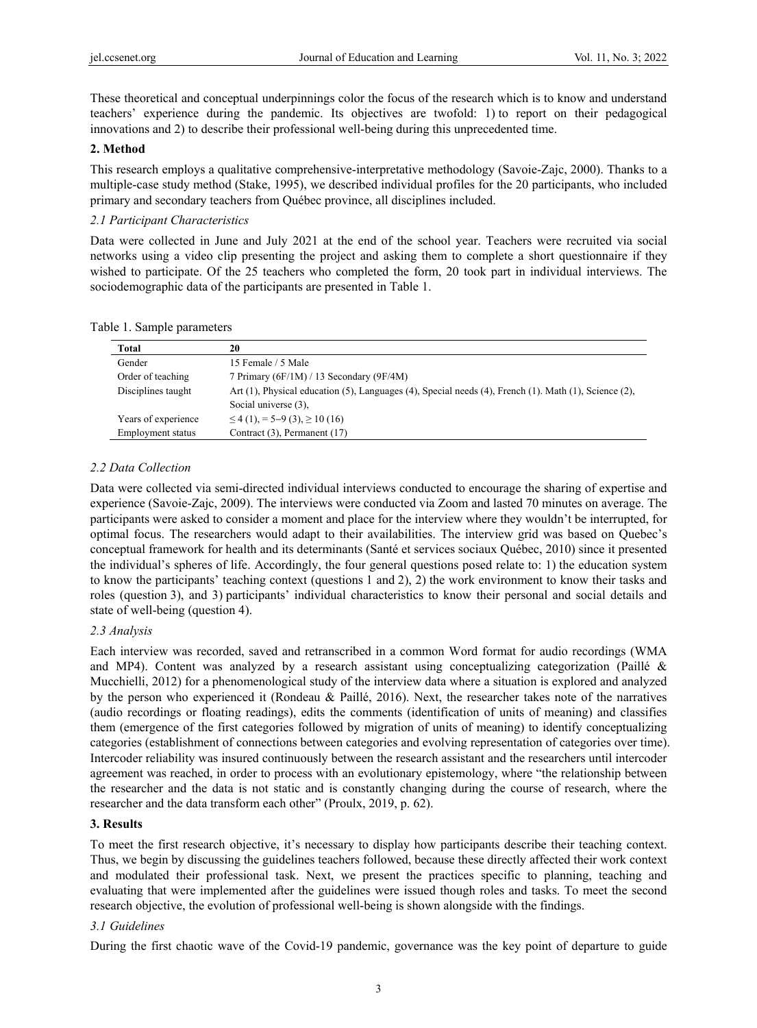These theoretical and conceptual underpinnings color the focus of the research which is to know and understand teachers' experience during the pandemic. Its objectives are twofold: 1) to report on their pedagogical innovations and 2) to describe their professional well-being during this unprecedented time.

## **2. Method**

This research employs a qualitative comprehensive-interpretative methodology (Savoie-Zajc, 2000). Thanks to a multiple-case study method (Stake, 1995), we described individual profiles for the 20 participants, who included primary and secondary teachers from Québec province, all disciplines included.

## *2.1 Participant Characteristics*

Data were collected in June and July 2021 at the end of the school year. Teachers were recruited via social networks using a video clip presenting the project and asking them to complete a short questionnaire if they wished to participate. Of the 25 teachers who completed the form, 20 took part in individual interviews. The sociodemographic data of the participants are presented in Table 1.

|  |  | Table 1. Sample parameters |
|--|--|----------------------------|
|--|--|----------------------------|

| Total               | 20                                                                                                    |  |
|---------------------|-------------------------------------------------------------------------------------------------------|--|
| Gender              | 15 Female / 5 Male                                                                                    |  |
| Order of teaching   | 7 Primary (6F/1M) / 13 Secondary (9F/4M)                                                              |  |
| Disciplines taught  | Art (1), Physical education (5), Languages (4), Special needs (4), French (1). Math (1), Science (2), |  |
|                     | Social universe (3).                                                                                  |  |
| Years of experience | $\leq$ 4 (1), = 5–9 (3), $\geq$ 10 (16)                                                               |  |
| Employment status   | Contract (3), Permanent (17)                                                                          |  |

# *2.2 Data Collection*

Data were collected via semi-directed individual interviews conducted to encourage the sharing of expertise and experience (Savoie-Zajc, 2009). The interviews were conducted via Zoom and lasted 70 minutes on average. The participants were asked to consider a moment and place for the interview where they wouldn't be interrupted, for optimal focus. The researchers would adapt to their availabilities. The interview grid was based on Quebec's conceptual framework for health and its determinants (Santé et services sociaux Québec, 2010) since it presented the individual's spheres of life. Accordingly, the four general questions posed relate to: 1) the education system to know the participants' teaching context (questions 1 and 2), 2) the work environment to know their tasks and roles (question 3), and 3) participants' individual characteristics to know their personal and social details and state of well-being (question 4).

# *2.3 Analysis*

Each interview was recorded, saved and retranscribed in a common Word format for audio recordings (WMA and MP4). Content was analyzed by a research assistant using conceptualizing categorization (Paillé & Mucchielli, 2012) for a phenomenological study of the interview data where a situation is explored and analyzed by the person who experienced it (Rondeau & Paillé, 2016). Next, the researcher takes note of the narratives (audio recordings or floating readings), edits the comments (identification of units of meaning) and classifies them (emergence of the first categories followed by migration of units of meaning) to identify conceptualizing categories (establishment of connections between categories and evolving representation of categories over time). Intercoder reliability was insured continuously between the research assistant and the researchers until intercoder agreement was reached, in order to process with an evolutionary epistemology, where "the relationship between the researcher and the data is not static and is constantly changing during the course of research, where the researcher and the data transform each other" (Proulx, 2019, p. 62).

# **3. Results**

To meet the first research objective, it's necessary to display how participants describe their teaching context. Thus, we begin by discussing the guidelines teachers followed, because these directly affected their work context and modulated their professional task. Next, we present the practices specific to planning, teaching and evaluating that were implemented after the guidelines were issued though roles and tasks. To meet the second research objective, the evolution of professional well-being is shown alongside with the findings.

### *3.1 Guidelines*

During the first chaotic wave of the Covid-19 pandemic, governance was the key point of departure to guide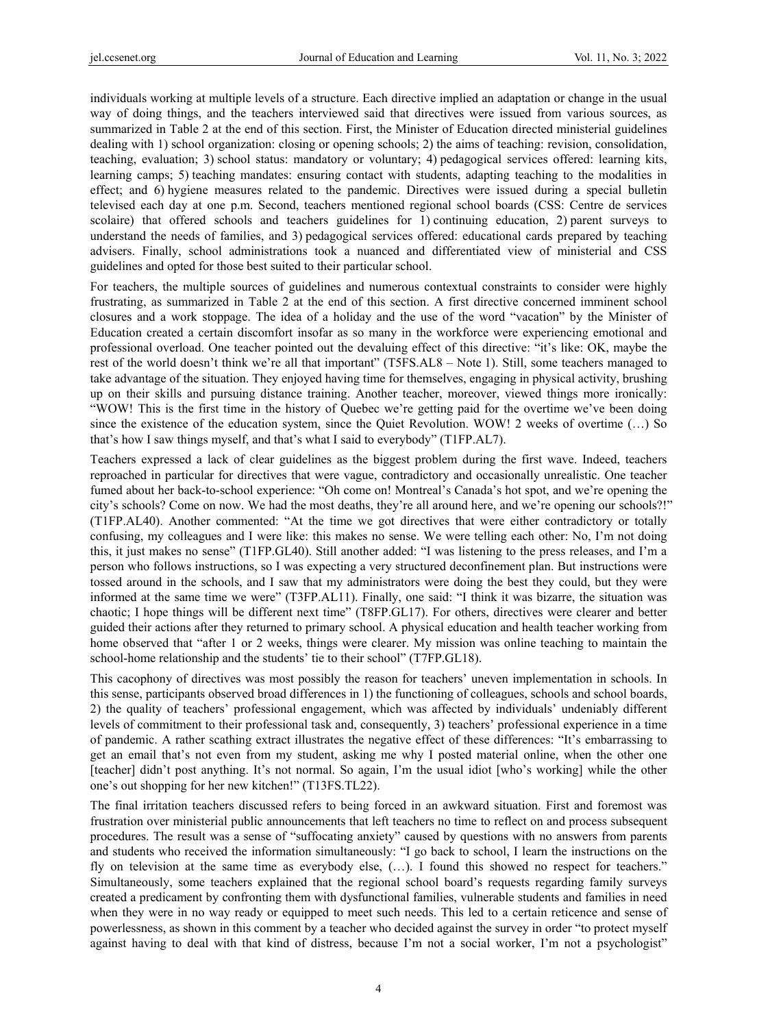individuals working at multiple levels of a structure. Each directive implied an adaptation or change in the usual way of doing things, and the teachers interviewed said that directives were issued from various sources, as summarized in Table 2 at the end of this section. First, the Minister of Education directed ministerial guidelines dealing with 1) school organization: closing or opening schools; 2) the aims of teaching: revision, consolidation, teaching, evaluation; 3) school status: mandatory or voluntary; 4) pedagogical services offered: learning kits, learning camps; 5) teaching mandates: ensuring contact with students, adapting teaching to the modalities in effect; and 6) hygiene measures related to the pandemic. Directives were issued during a special bulletin televised each day at one p.m. Second, teachers mentioned regional school boards (CSS: Centre de services scolaire) that offered schools and teachers guidelines for 1) continuing education, 2) parent surveys to understand the needs of families, and 3) pedagogical services offered: educational cards prepared by teaching advisers. Finally, school administrations took a nuanced and differentiated view of ministerial and CSS guidelines and opted for those best suited to their particular school.

For teachers, the multiple sources of guidelines and numerous contextual constraints to consider were highly frustrating, as summarized in Table 2 at the end of this section. A first directive concerned imminent school closures and a work stoppage. The idea of a holiday and the use of the word "vacation" by the Minister of Education created a certain discomfort insofar as so many in the workforce were experiencing emotional and professional overload. One teacher pointed out the devaluing effect of this directive: "it's like: OK, maybe the rest of the world doesn't think we're all that important" (T5FS.AL8 – Note 1). Still, some teachers managed to take advantage of the situation. They enjoyed having time for themselves, engaging in physical activity, brushing up on their skills and pursuing distance training. Another teacher, moreover, viewed things more ironically: "WOW! This is the first time in the history of Quebec we're getting paid for the overtime we've been doing since the existence of the education system, since the Quiet Revolution. WOW! 2 weeks of overtime (…) So that's how I saw things myself, and that's what I said to everybody" (T1FP.AL7).

Teachers expressed a lack of clear guidelines as the biggest problem during the first wave. Indeed, teachers reproached in particular for directives that were vague, contradictory and occasionally unrealistic. One teacher fumed about her back-to-school experience: "Oh come on! Montreal's Canada's hot spot, and we're opening the city's schools? Come on now. We had the most deaths, they're all around here, and we're opening our schools?!" (T1FP.AL40). Another commented: "At the time we got directives that were either contradictory or totally confusing, my colleagues and I were like: this makes no sense. We were telling each other: No, I'm not doing this, it just makes no sense" (T1FP.GL40). Still another added: "I was listening to the press releases, and I'm a person who follows instructions, so I was expecting a very structured deconfinement plan. But instructions were tossed around in the schools, and I saw that my administrators were doing the best they could, but they were informed at the same time we were" (T3FP.AL11). Finally, one said: "I think it was bizarre, the situation was chaotic; I hope things will be different next time" (T8FP.GL17). For others, directives were clearer and better guided their actions after they returned to primary school. A physical education and health teacher working from home observed that "after 1 or 2 weeks, things were clearer. My mission was online teaching to maintain the school-home relationship and the students' tie to their school" (T7FP.GL18).

This cacophony of directives was most possibly the reason for teachers' uneven implementation in schools. In this sense, participants observed broad differences in 1) the functioning of colleagues, schools and school boards, 2) the quality of teachers' professional engagement, which was affected by individuals' undeniably different levels of commitment to their professional task and, consequently, 3) teachers' professional experience in a time of pandemic. A rather scathing extract illustrates the negative effect of these differences: "It's embarrassing to get an email that's not even from my student, asking me why I posted material online, when the other one [teacher] didn't post anything. It's not normal. So again, I'm the usual idiot [who's working] while the other one's out shopping for her new kitchen!" (T13FS.TL22).

The final irritation teachers discussed refers to being forced in an awkward situation. First and foremost was frustration over ministerial public announcements that left teachers no time to reflect on and process subsequent procedures. The result was a sense of "suffocating anxiety" caused by questions with no answers from parents and students who received the information simultaneously: "I go back to school, I learn the instructions on the fly on television at the same time as everybody else, (…). I found this showed no respect for teachers." Simultaneously, some teachers explained that the regional school board's requests regarding family surveys created a predicament by confronting them with dysfunctional families, vulnerable students and families in need when they were in no way ready or equipped to meet such needs. This led to a certain reticence and sense of powerlessness, as shown in this comment by a teacher who decided against the survey in order "to protect myself against having to deal with that kind of distress, because I'm not a social worker, I'm not a psychologist"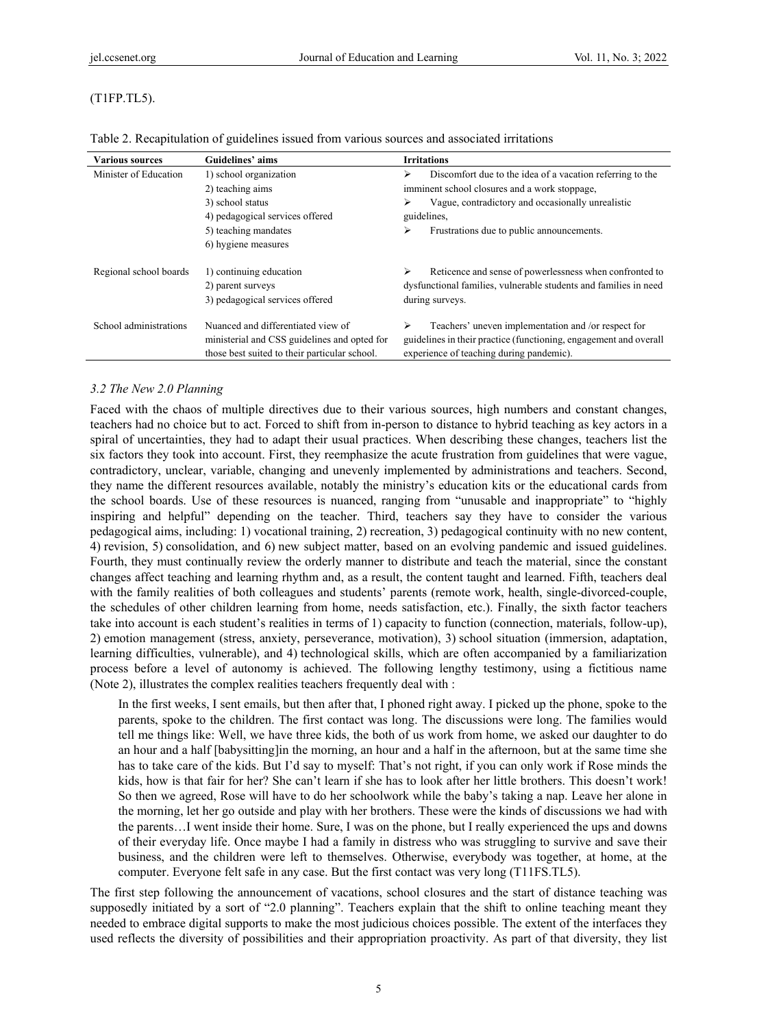# (T1FP.TL5).

| <b>Various sources</b>                                                 | Guidelines' aims                                                                                                                    | <b>Irritations</b>                                                                                                                                                        |
|------------------------------------------------------------------------|-------------------------------------------------------------------------------------------------------------------------------------|---------------------------------------------------------------------------------------------------------------------------------------------------------------------------|
| Minister of Education                                                  | 1) school organization                                                                                                              | Discomfort due to the idea of a vacation referring to the<br>⋗                                                                                                            |
|                                                                        | 2) teaching aims                                                                                                                    | imminent school closures and a work stoppage,                                                                                                                             |
|                                                                        | 3) school status                                                                                                                    | Vague, contradictory and occasionally unrealistic<br>⋗                                                                                                                    |
|                                                                        | 4) pedagogical services offered                                                                                                     | guidelines,                                                                                                                                                               |
|                                                                        | 5) teaching mandates                                                                                                                | Frustrations due to public announcements.<br>⋗                                                                                                                            |
|                                                                        | 6) hygiene measures                                                                                                                 |                                                                                                                                                                           |
| Regional school boards<br>1) continuing education<br>2) parent surveys |                                                                                                                                     | Reticence and sense of powerlessness when confronted to<br>⋗<br>dysfunctional families, vulnerable students and families in need                                          |
|                                                                        | 3) pedagogical services offered                                                                                                     | during surveys.                                                                                                                                                           |
| School administrations                                                 | Nuanced and differentiated view of<br>ministerial and CSS guidelines and opted for<br>those best suited to their particular school. | Teachers' uneven implementation and /or respect for<br>⋗<br>guidelines in their practice (functioning, engagement and overall<br>experience of teaching during pandemic). |

Table 2. Recapitulation of guidelines issued from various sources and associated irritations

# *3.2 The New 2.0 Planning*

Faced with the chaos of multiple directives due to their various sources, high numbers and constant changes, teachers had no choice but to act. Forced to shift from in-person to distance to hybrid teaching as key actors in a spiral of uncertainties, they had to adapt their usual practices. When describing these changes, teachers list the six factors they took into account. First, they reemphasize the acute frustration from guidelines that were vague, contradictory, unclear, variable, changing and unevenly implemented by administrations and teachers. Second, they name the different resources available, notably the ministry's education kits or the educational cards from the school boards. Use of these resources is nuanced, ranging from "unusable and inappropriate" to "highly inspiring and helpful" depending on the teacher. Third, teachers say they have to consider the various pedagogical aims, including: 1) vocational training, 2) recreation, 3) pedagogical continuity with no new content, 4) revision, 5) consolidation, and 6) new subject matter, based on an evolving pandemic and issued guidelines. Fourth, they must continually review the orderly manner to distribute and teach the material, since the constant changes affect teaching and learning rhythm and, as a result, the content taught and learned. Fifth, teachers deal with the family realities of both colleagues and students' parents (remote work, health, single-divorced-couple, the schedules of other children learning from home, needs satisfaction, etc.). Finally, the sixth factor teachers take into account is each student's realities in terms of 1) capacity to function (connection, materials, follow-up), 2) emotion management (stress, anxiety, perseverance, motivation), 3) school situation (immersion, adaptation, learning difficulties, vulnerable), and 4) technological skills, which are often accompanied by a familiarization process before a level of autonomy is achieved. The following lengthy testimony, using a fictitious name (Note 2), illustrates the complex realities teachers frequently deal with :

In the first weeks, I sent emails, but then after that, I phoned right away. I picked up the phone, spoke to the parents, spoke to the children. The first contact was long. The discussions were long. The families would tell me things like: Well, we have three kids, the both of us work from home, we asked our daughter to do an hour and a half [babysitting]in the morning, an hour and a half in the afternoon, but at the same time she has to take care of the kids. But I'd say to myself: That's not right, if you can only work if Rose minds the kids, how is that fair for her? She can't learn if she has to look after her little brothers. This doesn't work! So then we agreed, Rose will have to do her schoolwork while the baby's taking a nap. Leave her alone in the morning, let her go outside and play with her brothers. These were the kinds of discussions we had with the parents…I went inside their home. Sure, I was on the phone, but I really experienced the ups and downs of their everyday life. Once maybe I had a family in distress who was struggling to survive and save their business, and the children were left to themselves. Otherwise, everybody was together, at home, at the computer. Everyone felt safe in any case. But the first contact was very long (T11FS.TL5).

The first step following the announcement of vacations, school closures and the start of distance teaching was supposedly initiated by a sort of "2.0 planning". Teachers explain that the shift to online teaching meant they needed to embrace digital supports to make the most judicious choices possible. The extent of the interfaces they used reflects the diversity of possibilities and their appropriation proactivity. As part of that diversity, they list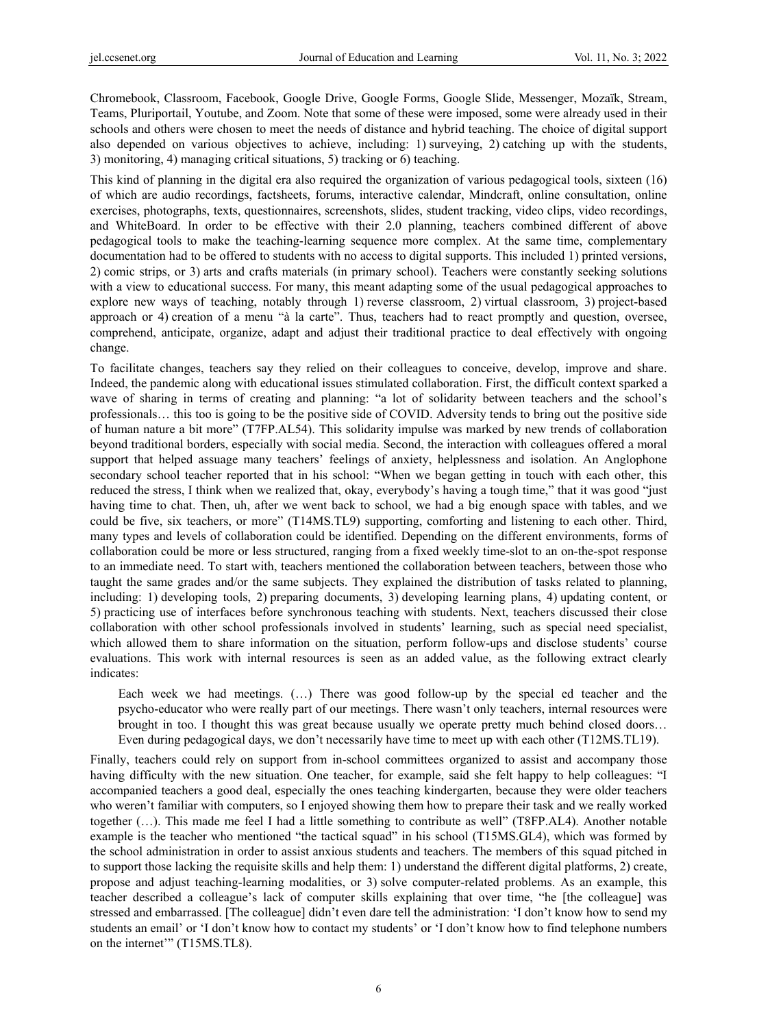Chromebook, Classroom, Facebook, Google Drive, Google Forms, Google Slide, Messenger, Mozaïk, Stream, Teams, Pluriportail, Youtube, and Zoom. Note that some of these were imposed, some were already used in their schools and others were chosen to meet the needs of distance and hybrid teaching. The choice of digital support also depended on various objectives to achieve, including: 1) surveying, 2) catching up with the students, 3) monitoring, 4) managing critical situations, 5) tracking or 6) teaching.

This kind of planning in the digital era also required the organization of various pedagogical tools, sixteen (16) of which are audio recordings, factsheets, forums, interactive calendar, Mindcraft, online consultation, online exercises, photographs, texts, questionnaires, screenshots, slides, student tracking, video clips, video recordings, and WhiteBoard. In order to be effective with their 2.0 planning, teachers combined different of above pedagogical tools to make the teaching-learning sequence more complex. At the same time, complementary documentation had to be offered to students with no access to digital supports. This included 1) printed versions, 2) comic strips, or 3) arts and crafts materials (in primary school). Teachers were constantly seeking solutions with a view to educational success. For many, this meant adapting some of the usual pedagogical approaches to explore new ways of teaching, notably through 1) reverse classroom, 2) virtual classroom, 3) project-based approach or 4) creation of a menu "à la carte". Thus, teachers had to react promptly and question, oversee, comprehend, anticipate, organize, adapt and adjust their traditional practice to deal effectively with ongoing change.

To facilitate changes, teachers say they relied on their colleagues to conceive, develop, improve and share. Indeed, the pandemic along with educational issues stimulated collaboration. First, the difficult context sparked a wave of sharing in terms of creating and planning: "a lot of solidarity between teachers and the school's professionals… this too is going to be the positive side of COVID. Adversity tends to bring out the positive side of human nature a bit more" (T7FP.AL54). This solidarity impulse was marked by new trends of collaboration beyond traditional borders, especially with social media. Second, the interaction with colleagues offered a moral support that helped assuage many teachers' feelings of anxiety, helplessness and isolation. An Anglophone secondary school teacher reported that in his school: "When we began getting in touch with each other, this reduced the stress, I think when we realized that, okay, everybody's having a tough time," that it was good "just having time to chat. Then, uh, after we went back to school, we had a big enough space with tables, and we could be five, six teachers, or more" (T14MS.TL9) supporting, comforting and listening to each other. Third, many types and levels of collaboration could be identified. Depending on the different environments, forms of collaboration could be more or less structured, ranging from a fixed weekly time-slot to an on-the-spot response to an immediate need. To start with, teachers mentioned the collaboration between teachers, between those who taught the same grades and/or the same subjects. They explained the distribution of tasks related to planning, including: 1) developing tools, 2) preparing documents, 3) developing learning plans, 4) updating content, or 5) practicing use of interfaces before synchronous teaching with students. Next, teachers discussed their close collaboration with other school professionals involved in students' learning, such as special need specialist, which allowed them to share information on the situation, perform follow-ups and disclose students' course evaluations. This work with internal resources is seen as an added value, as the following extract clearly indicates:

Each week we had meetings. (…) There was good follow-up by the special ed teacher and the psycho-educator who were really part of our meetings. There wasn't only teachers, internal resources were brought in too. I thought this was great because usually we operate pretty much behind closed doors… Even during pedagogical days, we don't necessarily have time to meet up with each other (T12MS.TL19).

Finally, teachers could rely on support from in-school committees organized to assist and accompany those having difficulty with the new situation. One teacher, for example, said she felt happy to help colleagues: "I accompanied teachers a good deal, especially the ones teaching kindergarten, because they were older teachers who weren't familiar with computers, so I enjoyed showing them how to prepare their task and we really worked together (…). This made me feel I had a little something to contribute as well" (T8FP.AL4). Another notable example is the teacher who mentioned "the tactical squad" in his school (T15MS.GL4), which was formed by the school administration in order to assist anxious students and teachers. The members of this squad pitched in to support those lacking the requisite skills and help them: 1) understand the different digital platforms, 2) create, propose and adjust teaching-learning modalities, or 3) solve computer-related problems. As an example, this teacher described a colleague's lack of computer skills explaining that over time, "he [the colleague] was stressed and embarrassed. [The colleague] didn't even dare tell the administration: 'I don't know how to send my students an email' or 'I don't know how to contact my students' or 'I don't know how to find telephone numbers on the internet'" (T15MS.TL8).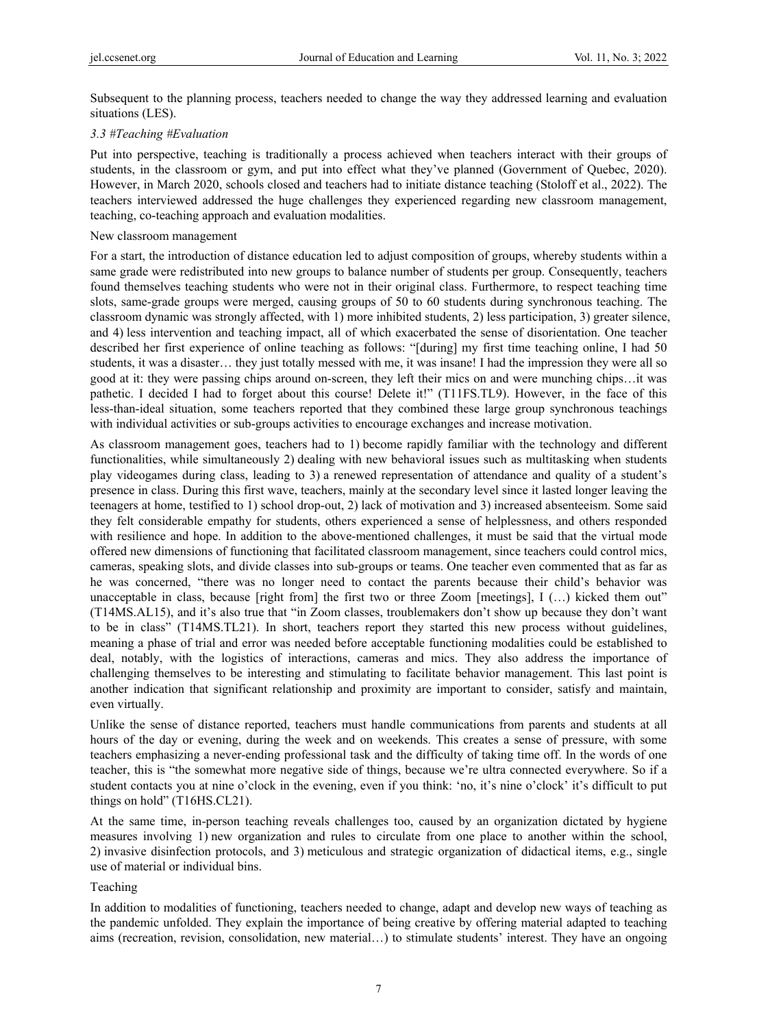Subsequent to the planning process, teachers needed to change the way they addressed learning and evaluation situations (LES).

# *3.3 #Teaching #Evaluation*

Put into perspective, teaching is traditionally a process achieved when teachers interact with their groups of students, in the classroom or gym, and put into effect what they've planned (Government of Quebec, 2020). However, in March 2020, schools closed and teachers had to initiate distance teaching (Stoloff et al., 2022). The teachers interviewed addressed the huge challenges they experienced regarding new classroom management, teaching, co-teaching approach and evaluation modalities.

## New classroom management

For a start, the introduction of distance education led to adjust composition of groups, whereby students within a same grade were redistributed into new groups to balance number of students per group. Consequently, teachers found themselves teaching students who were not in their original class. Furthermore, to respect teaching time slots, same-grade groups were merged, causing groups of 50 to 60 students during synchronous teaching. The classroom dynamic was strongly affected, with 1) more inhibited students, 2) less participation, 3) greater silence, and 4) less intervention and teaching impact, all of which exacerbated the sense of disorientation. One teacher described her first experience of online teaching as follows: "[during] my first time teaching online, I had 50 students, it was a disaster… they just totally messed with me, it was insane! I had the impression they were all so good at it: they were passing chips around on-screen, they left their mics on and were munching chips…it was pathetic. I decided I had to forget about this course! Delete it!" (T11FS.TL9). However, in the face of this less-than-ideal situation, some teachers reported that they combined these large group synchronous teachings with individual activities or sub-groups activities to encourage exchanges and increase motivation.

As classroom management goes, teachers had to 1) become rapidly familiar with the technology and different functionalities, while simultaneously 2) dealing with new behavioral issues such as multitasking when students play videogames during class, leading to 3) a renewed representation of attendance and quality of a student's presence in class. During this first wave, teachers, mainly at the secondary level since it lasted longer leaving the teenagers at home, testified to 1) school drop-out, 2) lack of motivation and 3) increased absenteeism. Some said they felt considerable empathy for students, others experienced a sense of helplessness, and others responded with resilience and hope. In addition to the above-mentioned challenges, it must be said that the virtual mode offered new dimensions of functioning that facilitated classroom management, since teachers could control mics, cameras, speaking slots, and divide classes into sub-groups or teams. One teacher even commented that as far as he was concerned, "there was no longer need to contact the parents because their child's behavior was unacceptable in class, because [right from] the first two or three Zoom [meetings], I (...) kicked them out" (T14MS.AL15), and it's also true that "in Zoom classes, troublemakers don't show up because they don't want to be in class" (T14MS.TL21). In short, teachers report they started this new process without guidelines, meaning a phase of trial and error was needed before acceptable functioning modalities could be established to deal, notably, with the logistics of interactions, cameras and mics. They also address the importance of challenging themselves to be interesting and stimulating to facilitate behavior management. This last point is another indication that significant relationship and proximity are important to consider, satisfy and maintain, even virtually.

Unlike the sense of distance reported, teachers must handle communications from parents and students at all hours of the day or evening, during the week and on weekends. This creates a sense of pressure, with some teachers emphasizing a never-ending professional task and the difficulty of taking time off. In the words of one teacher, this is "the somewhat more negative side of things, because we're ultra connected everywhere. So if a student contacts you at nine o'clock in the evening, even if you think: 'no, it's nine o'clock' it's difficult to put things on hold" (T16HS.CL21).

At the same time, in-person teaching reveals challenges too, caused by an organization dictated by hygiene measures involving 1) new organization and rules to circulate from one place to another within the school, 2) invasive disinfection protocols, and 3) meticulous and strategic organization of didactical items, e.g., single use of material or individual bins.

# Teaching

In addition to modalities of functioning, teachers needed to change, adapt and develop new ways of teaching as the pandemic unfolded. They explain the importance of being creative by offering material adapted to teaching aims (recreation, revision, consolidation, new material…) to stimulate students' interest. They have an ongoing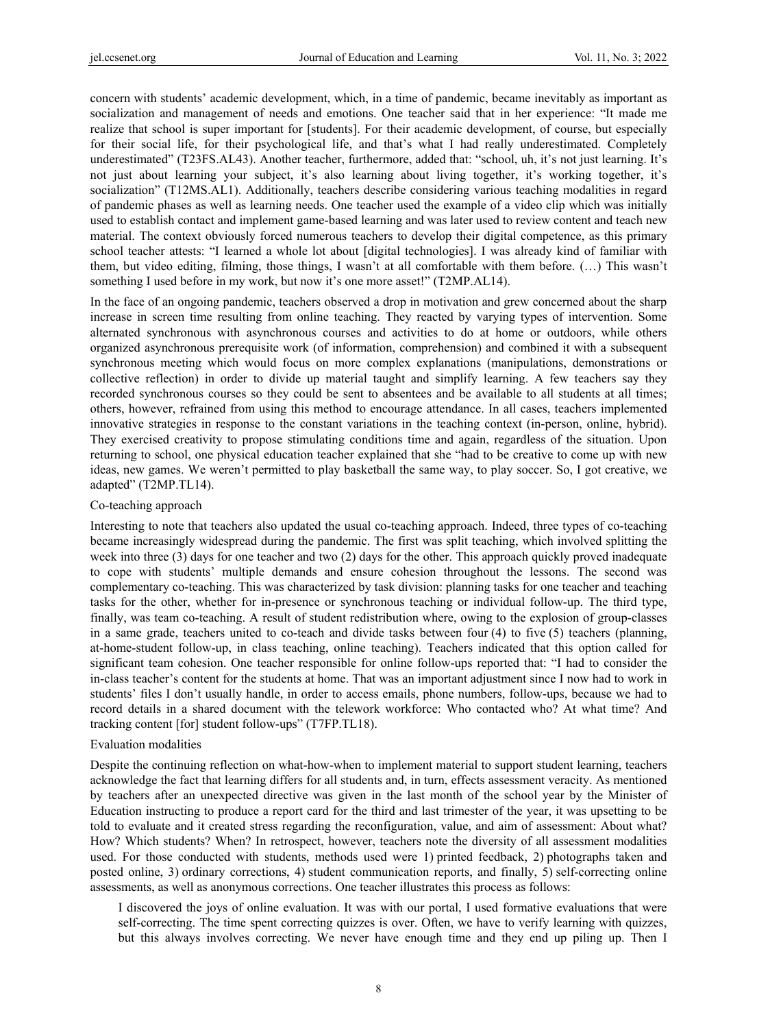concern with students' academic development, which, in a time of pandemic, became inevitably as important as socialization and management of needs and emotions. One teacher said that in her experience: "It made me realize that school is super important for [students]. For their academic development, of course, but especially for their social life, for their psychological life, and that's what I had really underestimated. Completely underestimated" (T23FS.AL43). Another teacher, furthermore, added that: "school, uh, it's not just learning. It's not just about learning your subject, it's also learning about living together, it's working together, it's socialization" (T12MS.AL1). Additionally, teachers describe considering various teaching modalities in regard of pandemic phases as well as learning needs. One teacher used the example of a video clip which was initially used to establish contact and implement game-based learning and was later used to review content and teach new material. The context obviously forced numerous teachers to develop their digital competence, as this primary school teacher attests: "I learned a whole lot about [digital technologies]. I was already kind of familiar with them, but video editing, filming, those things, I wasn't at all comfortable with them before. (…) This wasn't something I used before in my work, but now it's one more asset!" (T2MP.AL14).

In the face of an ongoing pandemic, teachers observed a drop in motivation and grew concerned about the sharp increase in screen time resulting from online teaching. They reacted by varying types of intervention. Some alternated synchronous with asynchronous courses and activities to do at home or outdoors, while others organized asynchronous prerequisite work (of information, comprehension) and combined it with a subsequent synchronous meeting which would focus on more complex explanations (manipulations, demonstrations or collective reflection) in order to divide up material taught and simplify learning. A few teachers say they recorded synchronous courses so they could be sent to absentees and be available to all students at all times; others, however, refrained from using this method to encourage attendance. In all cases, teachers implemented innovative strategies in response to the constant variations in the teaching context (in-person, online, hybrid). They exercised creativity to propose stimulating conditions time and again, regardless of the situation. Upon returning to school, one physical education teacher explained that she "had to be creative to come up with new ideas, new games. We weren't permitted to play basketball the same way, to play soccer. So, I got creative, we adapted" (T2MP.TL14).

#### Co-teaching approach

Interesting to note that teachers also updated the usual co-teaching approach. Indeed, three types of co-teaching became increasingly widespread during the pandemic. The first was split teaching, which involved splitting the week into three (3) days for one teacher and two (2) days for the other. This approach quickly proved inadequate to cope with students' multiple demands and ensure cohesion throughout the lessons. The second was complementary co-teaching. This was characterized by task division: planning tasks for one teacher and teaching tasks for the other, whether for in-presence or synchronous teaching or individual follow-up. The third type, finally, was team co-teaching. A result of student redistribution where, owing to the explosion of group-classes in a same grade, teachers united to co-teach and divide tasks between four (4) to five (5) teachers (planning, at-home-student follow-up, in class teaching, online teaching). Teachers indicated that this option called for significant team cohesion. One teacher responsible for online follow-ups reported that: "I had to consider the in-class teacher's content for the students at home. That was an important adjustment since I now had to work in students' files I don't usually handle, in order to access emails, phone numbers, follow-ups, because we had to record details in a shared document with the telework workforce: Who contacted who? At what time? And tracking content [for] student follow-ups" (T7FP.TL18).

#### Evaluation modalities

Despite the continuing reflection on what-how-when to implement material to support student learning, teachers acknowledge the fact that learning differs for all students and, in turn, effects assessment veracity. As mentioned by teachers after an unexpected directive was given in the last month of the school year by the Minister of Education instructing to produce a report card for the third and last trimester of the year, it was upsetting to be told to evaluate and it created stress regarding the reconfiguration, value, and aim of assessment: About what? How? Which students? When? In retrospect, however, teachers note the diversity of all assessment modalities used. For those conducted with students, methods used were 1) printed feedback, 2) photographs taken and posted online, 3) ordinary corrections, 4) student communication reports, and finally, 5) self-correcting online assessments, as well as anonymous corrections. One teacher illustrates this process as follows:

I discovered the joys of online evaluation. It was with our portal, I used formative evaluations that were self-correcting. The time spent correcting quizzes is over. Often, we have to verify learning with quizzes, but this always involves correcting. We never have enough time and they end up piling up. Then I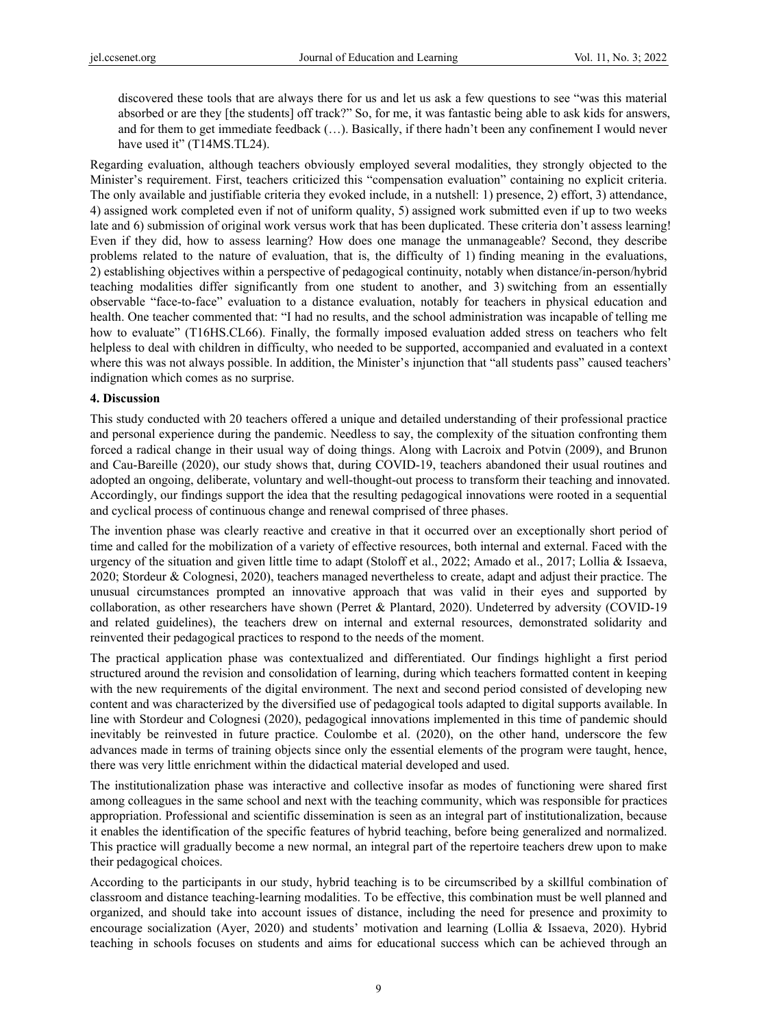discovered these tools that are always there for us and let us ask a few questions to see "was this material absorbed or are they [the students] off track?" So, for me, it was fantastic being able to ask kids for answers, and for them to get immediate feedback (…). Basically, if there hadn't been any confinement I would never have used it" (T14MS.TL24).

Regarding evaluation, although teachers obviously employed several modalities, they strongly objected to the Minister's requirement. First, teachers criticized this "compensation evaluation" containing no explicit criteria. The only available and justifiable criteria they evoked include, in a nutshell: 1) presence, 2) effort, 3) attendance, 4) assigned work completed even if not of uniform quality, 5) assigned work submitted even if up to two weeks late and 6) submission of original work versus work that has been duplicated. These criteria don't assess learning! Even if they did, how to assess learning? How does one manage the unmanageable? Second, they describe problems related to the nature of evaluation, that is, the difficulty of 1) finding meaning in the evaluations, 2) establishing objectives within a perspective of pedagogical continuity, notably when distance/in-person/hybrid teaching modalities differ significantly from one student to another, and 3) switching from an essentially observable "face-to-face" evaluation to a distance evaluation, notably for teachers in physical education and health. One teacher commented that: "I had no results, and the school administration was incapable of telling me how to evaluate" (T16HS.CL66). Finally, the formally imposed evaluation added stress on teachers who felt helpless to deal with children in difficulty, who needed to be supported, accompanied and evaluated in a context where this was not always possible. In addition, the Minister's injunction that "all students pass" caused teachers' indignation which comes as no surprise.

### **4. Discussion**

This study conducted with 20 teachers offered a unique and detailed understanding of their professional practice and personal experience during the pandemic. Needless to say, the complexity of the situation confronting them forced a radical change in their usual way of doing things. Along with Lacroix and Potvin (2009), and Brunon and Cau-Bareille (2020), our study shows that, during COVID-19, teachers abandoned their usual routines and adopted an ongoing, deliberate, voluntary and well-thought-out process to transform their teaching and innovated. Accordingly, our findings support the idea that the resulting pedagogical innovations were rooted in a sequential and cyclical process of continuous change and renewal comprised of three phases.

The invention phase was clearly reactive and creative in that it occurred over an exceptionally short period of time and called for the mobilization of a variety of effective resources, both internal and external. Faced with the urgency of the situation and given little time to adapt (Stoloff et al., 2022; Amado et al., 2017; Lollia & Issaeva, 2020; Stordeur & Colognesi, 2020), teachers managed nevertheless to create, adapt and adjust their practice. The unusual circumstances prompted an innovative approach that was valid in their eyes and supported by collaboration, as other researchers have shown (Perret & Plantard, 2020). Undeterred by adversity (COVID-19 and related guidelines), the teachers drew on internal and external resources, demonstrated solidarity and reinvented their pedagogical practices to respond to the needs of the moment.

The practical application phase was contextualized and differentiated. Our findings highlight a first period structured around the revision and consolidation of learning, during which teachers formatted content in keeping with the new requirements of the digital environment. The next and second period consisted of developing new content and was characterized by the diversified use of pedagogical tools adapted to digital supports available. In line with Stordeur and Colognesi (2020), pedagogical innovations implemented in this time of pandemic should inevitably be reinvested in future practice. Coulombe et al. (2020), on the other hand, underscore the few advances made in terms of training objects since only the essential elements of the program were taught, hence, there was very little enrichment within the didactical material developed and used.

The institutionalization phase was interactive and collective insofar as modes of functioning were shared first among colleagues in the same school and next with the teaching community, which was responsible for practices appropriation. Professional and scientific dissemination is seen as an integral part of institutionalization, because it enables the identification of the specific features of hybrid teaching, before being generalized and normalized. This practice will gradually become a new normal, an integral part of the repertoire teachers drew upon to make their pedagogical choices.

According to the participants in our study, hybrid teaching is to be circumscribed by a skillful combination of classroom and distance teaching-learning modalities. To be effective, this combination must be well planned and organized, and should take into account issues of distance, including the need for presence and proximity to encourage socialization (Ayer, 2020) and students' motivation and learning (Lollia & Issaeva, 2020). Hybrid teaching in schools focuses on students and aims for educational success which can be achieved through an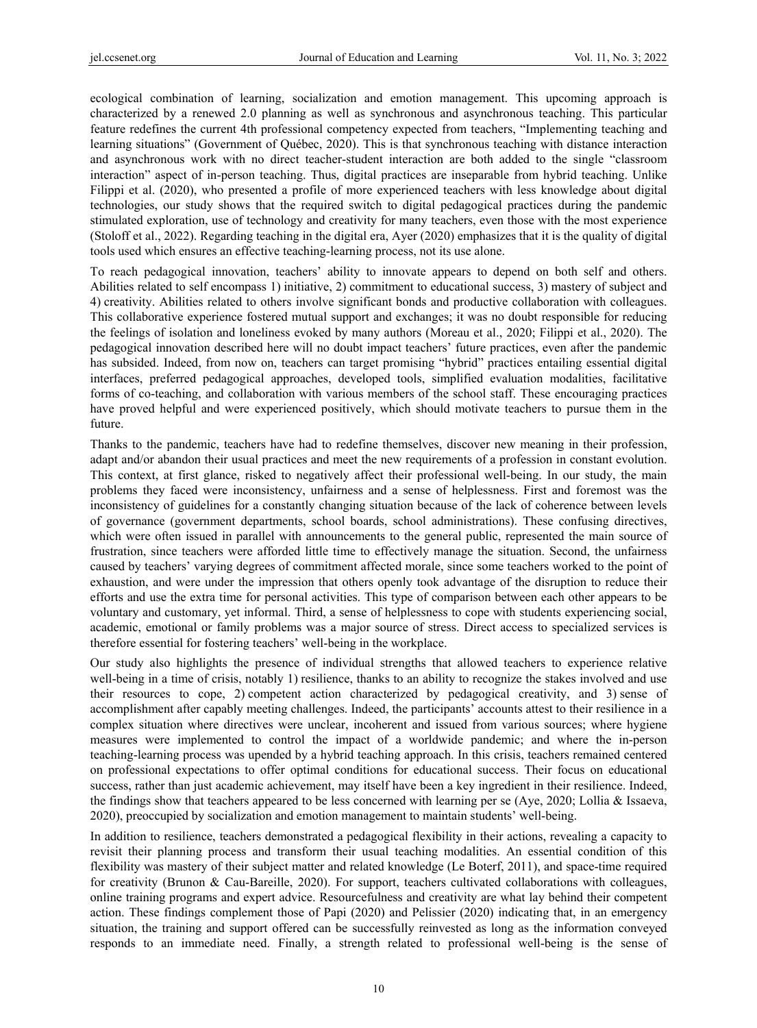ecological combination of learning, socialization and emotion management. This upcoming approach is characterized by a renewed 2.0 planning as well as synchronous and asynchronous teaching. This particular feature redefines the current 4th professional competency expected from teachers, "Implementing teaching and learning situations" (Government of Québec, 2020). This is that synchronous teaching with distance interaction and asynchronous work with no direct teacher-student interaction are both added to the single "classroom interaction" aspect of in-person teaching. Thus, digital practices are inseparable from hybrid teaching. Unlike Filippi et al. (2020), who presented a profile of more experienced teachers with less knowledge about digital technologies, our study shows that the required switch to digital pedagogical practices during the pandemic stimulated exploration, use of technology and creativity for many teachers, even those with the most experience (Stoloff et al., 2022). Regarding teaching in the digital era, Ayer (2020) emphasizes that it is the quality of digital tools used which ensures an effective teaching-learning process, not its use alone.

To reach pedagogical innovation, teachers' ability to innovate appears to depend on both self and others. Abilities related to self encompass 1) initiative, 2) commitment to educational success, 3) mastery of subject and 4) creativity. Abilities related to others involve significant bonds and productive collaboration with colleagues. This collaborative experience fostered mutual support and exchanges; it was no doubt responsible for reducing the feelings of isolation and loneliness evoked by many authors (Moreau et al., 2020; Filippi et al., 2020). The pedagogical innovation described here will no doubt impact teachers' future practices, even after the pandemic has subsided. Indeed, from now on, teachers can target promising "hybrid" practices entailing essential digital interfaces, preferred pedagogical approaches, developed tools, simplified evaluation modalities, facilitative forms of co-teaching, and collaboration with various members of the school staff. These encouraging practices have proved helpful and were experienced positively, which should motivate teachers to pursue them in the future.

Thanks to the pandemic, teachers have had to redefine themselves, discover new meaning in their profession, adapt and/or abandon their usual practices and meet the new requirements of a profession in constant evolution. This context, at first glance, risked to negatively affect their professional well-being. In our study, the main problems they faced were inconsistency, unfairness and a sense of helplessness. First and foremost was the inconsistency of guidelines for a constantly changing situation because of the lack of coherence between levels of governance (government departments, school boards, school administrations). These confusing directives, which were often issued in parallel with announcements to the general public, represented the main source of frustration, since teachers were afforded little time to effectively manage the situation. Second, the unfairness caused by teachers' varying degrees of commitment affected morale, since some teachers worked to the point of exhaustion, and were under the impression that others openly took advantage of the disruption to reduce their efforts and use the extra time for personal activities. This type of comparison between each other appears to be voluntary and customary, yet informal. Third, a sense of helplessness to cope with students experiencing social, academic, emotional or family problems was a major source of stress. Direct access to specialized services is therefore essential for fostering teachers' well-being in the workplace.

Our study also highlights the presence of individual strengths that allowed teachers to experience relative well-being in a time of crisis, notably 1) resilience, thanks to an ability to recognize the stakes involved and use their resources to cope, 2) competent action characterized by pedagogical creativity, and 3) sense of accomplishment after capably meeting challenges. Indeed, the participants' accounts attest to their resilience in a complex situation where directives were unclear, incoherent and issued from various sources; where hygiene measures were implemented to control the impact of a worldwide pandemic; and where the in-person teaching-learning process was upended by a hybrid teaching approach. In this crisis, teachers remained centered on professional expectations to offer optimal conditions for educational success. Their focus on educational success, rather than just academic achievement, may itself have been a key ingredient in their resilience. Indeed, the findings show that teachers appeared to be less concerned with learning per se (Aye, 2020; Lollia & Issaeva, 2020), preoccupied by socialization and emotion management to maintain students' well-being.

In addition to resilience, teachers demonstrated a pedagogical flexibility in their actions, revealing a capacity to revisit their planning process and transform their usual teaching modalities. An essential condition of this flexibility was mastery of their subject matter and related knowledge (Le Boterf, 2011), and space-time required for creativity (Brunon & Cau-Bareille, 2020). For support, teachers cultivated collaborations with colleagues, online training programs and expert advice. Resourcefulness and creativity are what lay behind their competent action. These findings complement those of Papi (2020) and Pelissier (2020) indicating that, in an emergency situation, the training and support offered can be successfully reinvested as long as the information conveyed responds to an immediate need. Finally, a strength related to professional well-being is the sense of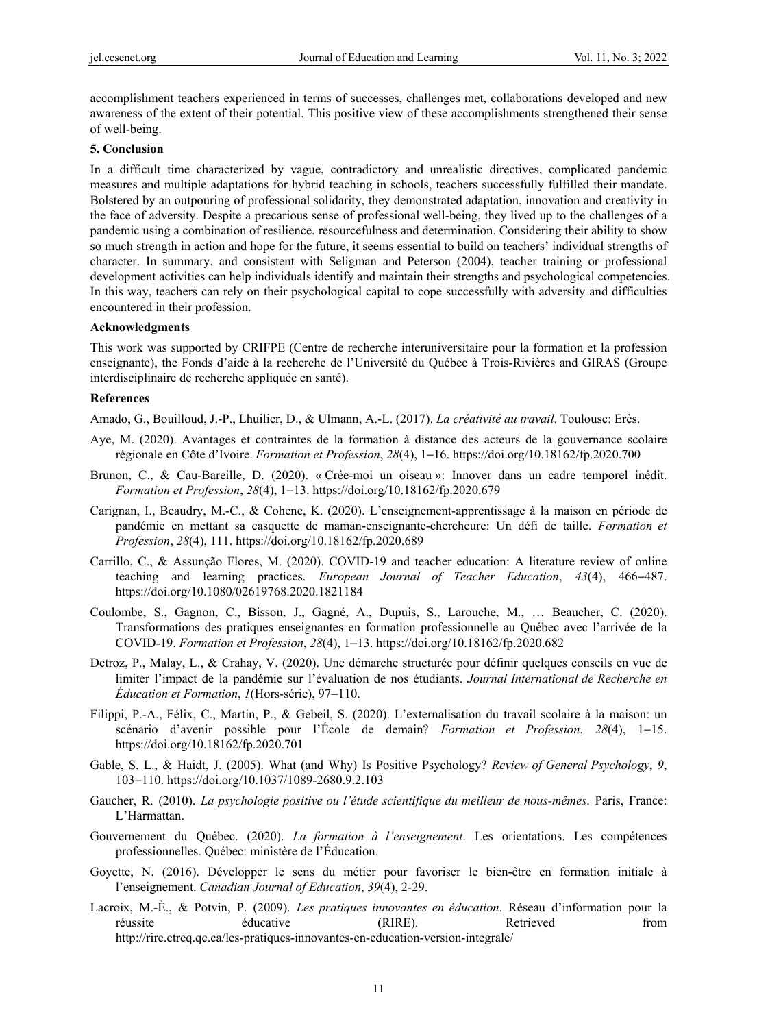accomplishment teachers experienced in terms of successes, challenges met, collaborations developed and new awareness of the extent of their potential. This positive view of these accomplishments strengthened their sense of well-being.

#### **5. Conclusion**

In a difficult time characterized by vague, contradictory and unrealistic directives, complicated pandemic measures and multiple adaptations for hybrid teaching in schools, teachers successfully fulfilled their mandate. Bolstered by an outpouring of professional solidarity, they demonstrated adaptation, innovation and creativity in the face of adversity. Despite a precarious sense of professional well-being, they lived up to the challenges of a pandemic using a combination of resilience, resourcefulness and determination. Considering their ability to show so much strength in action and hope for the future, it seems essential to build on teachers' individual strengths of character. In summary, and consistent with Seligman and Peterson (2004), teacher training or professional development activities can help individuals identify and maintain their strengths and psychological competencies. In this way, teachers can rely on their psychological capital to cope successfully with adversity and difficulties encountered in their profession.

#### **Acknowledgments**

This work was supported by CRIFPE (Centre de recherche interuniversitaire pour la formation et la profession enseignante), the Fonds d'aide à la recherche de l'Université du Québec à Trois-Rivières and GIRAS (Groupe interdisciplinaire de recherche appliquée en santé).

#### **References**

Amado, G., Bouilloud, J.-P., Lhuilier, D., & Ulmann, A.-L. (2017). *La créativité au travail*. Toulouse: Erès.

- Aye, M. (2020). Avantages et contraintes de la formation à distance des acteurs de la gouvernance scolaire régionale en Côte d'Ivoire. *Formation et Profession*, *28*(4), 1−16. https://doi.org/10.18162/fp.2020.700
- Brunon, C., & Cau-Bareille, D. (2020). « Crée-moi un oiseau »: Innover dans un cadre temporel inédit. *Formation et Profession*, *28*(4), 1−13. https://doi.org/10.18162/fp.2020.679
- Carignan, I., Beaudry, M.-C., & Cohene, K. (2020). L'enseignement-apprentissage à la maison en période de pandémie en mettant sa casquette de maman-enseignante-chercheure: Un défi de taille. *Formation et Profession*, *28*(4), 111. https://doi.org/10.18162/fp.2020.689
- Carrillo, C., & Assunção Flores, M. (2020). COVID-19 and teacher education: A literature review of online teaching and learning practices. *European Journal of Teacher Education*, *43*(4), 466−487. https://doi.org/10.1080/02619768.2020.1821184
- Coulombe, S., Gagnon, C., Bisson, J., Gagné, A., Dupuis, S., Larouche, M., … Beaucher, C. (2020). Transformations des pratiques enseignantes en formation professionnelle au Québec avec l'arrivée de la COVID-19. *Formation et Profession*, *28*(4), 1−13. https://doi.org/10.18162/fp.2020.682
- Detroz, P., Malay, L., & Crahay, V. (2020). Une démarche structurée pour définir quelques conseils en vue de limiter l'impact de la pandémie sur l'évaluation de nos étudiants. *Journal International de Recherche en Éducation et Formation*, *1*(Hors-série), 97−110.
- Filippi, P.-A., Félix, C., Martin, P., & Gebeil, S. (2020). L'externalisation du travail scolaire à la maison: un scénario d'avenir possible pour l'École de demain? *Formation et Profession*, *28*(4), 1−15. https://doi.org/10.18162/fp.2020.701
- Gable, S. L., & Haidt, J. (2005). What (and Why) Is Positive Psychology? *Review of General Psychology*, *9*, 103−110. https://doi.org/10.1037/1089-2680.9.2.103
- Gaucher, R. (2010). *La psychologie positive ou l'étude scientifique du meilleur de nous-mêmes*. Paris, France: L'Harmattan.
- Gouvernement du Québec. (2020). *La formation à l'enseignement*. Les orientations. Les compétences professionnelles. Québec: ministère de l'Éducation.
- Goyette, N. (2016). Développer le sens du métier pour favoriser le bien-être en formation initiale à l'enseignement. *Canadian Journal of Education*, *39*(4), 2-29.
- Lacroix, M.-È., & Potvin, P. (2009). *Les pratiques innovantes en éducation*. Réseau d'information pour la réussite éducative (RIRE). Retrieved from http://rire.ctreq.qc.ca/les-pratiques-innovantes-en-education-version-integrale/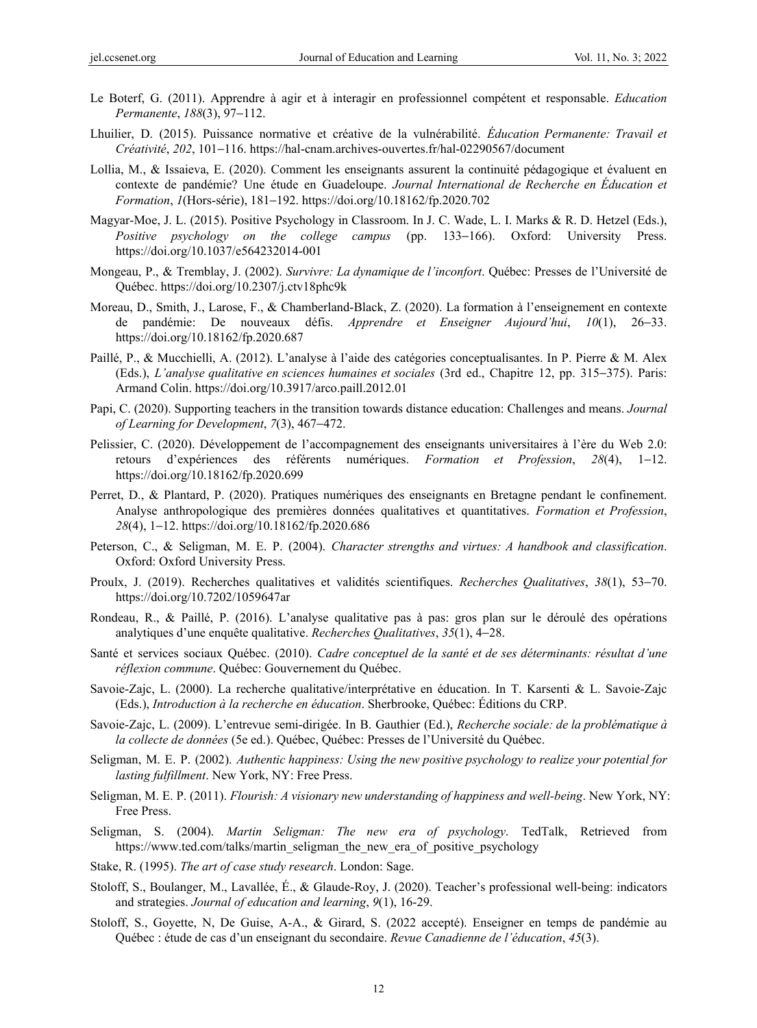- Le Boterf, G. (2011). Apprendre à agir et à interagir en professionnel compétent et responsable. *Education Permanente*, *188*(3), 97−112.
- Lhuilier, D. (2015). Puissance normative et créative de la vulnérabilité. *Éducation Permanente: Travail et Créativité*, *202*, 101−116. https://hal-cnam.archives-ouvertes.fr/hal-02290567/document
- Lollia, M., & Issaieva, E. (2020). Comment les enseignants assurent la continuité pédagogique et évaluent en contexte de pandémie? Une étude en Guadeloupe. *Journal International de Recherche en Éducation et Formation*, *1*(Hors-série), 181−192. https://doi.org/10.18162/fp.2020.702
- Magyar-Moe, J. L. (2015). Positive Psychology in Classroom. In J. C. Wade, L. I. Marks & R. D. Hetzel (Eds.), *Positive psychology on the college campus* (pp. 133−166). Oxford: University Press. https://doi.org/10.1037/e564232014-001
- Mongeau, P., & Tremblay, J. (2002). *Survivre: La dynamique de l'inconfort*. Québec: Presses de l'Université de Québec. https://doi.org/10.2307/j.ctv18phc9k
- Moreau, D., Smith, J., Larose, F., & Chamberland-Black, Z. (2020). La formation à l'enseignement en contexte de pandémie: De nouveaux défis. *Apprendre et Enseigner Aujourd'hui*, *10*(1), 26−33. https://doi.org/10.18162/fp.2020.687
- Paillé, P., & Mucchielli, A. (2012). L'analyse à l'aide des catégories conceptualisantes. In P. Pierre & M. Alex (Eds.), *L'analyse qualitative en sciences humaines et sociales* (3rd ed., Chapitre 12, pp. 315−375). Paris: Armand Colin. https://doi.org/10.3917/arco.paill.2012.01
- Papi, C. (2020). Supporting teachers in the transition towards distance education: Challenges and means. *Journal of Learning for Development*, *7*(3), 467−472.
- Pelissier, C. (2020). Développement de l'accompagnement des enseignants universitaires à l'ère du Web 2.0: retours d'expériences des référents numériques. *Formation et Profession*, *28*(4), 1−12. https://doi.org/10.18162/fp.2020.699
- Perret, D., & Plantard, P. (2020). Pratiques numériques des enseignants en Bretagne pendant le confinement. Analyse anthropologique des premières données qualitatives et quantitatives. *Formation et Profession*, *28*(4), 1−12. https://doi.org/10.18162/fp.2020.686
- Peterson, C., & Seligman, M. E. P. (2004). *Character strengths and virtues: A handbook and classification*. Oxford: Oxford University Press.
- Proulx, J. (2019). Recherches qualitatives et validités scientifiques. *Recherches Qualitatives*, *38*(1), 53−70. https://doi.org/10.7202/1059647ar
- Rondeau, R., & Paillé, P. (2016). L'analyse qualitative pas à pas: gros plan sur le déroulé des opérations analytiques d'une enquête qualitative. *Recherches Qualitatives*, *35*(1), 4−28.
- Santé et services sociaux Québec. (2010). *Cadre conceptuel de la santé et de ses déterminants: résultat d'une réflexion commune*. Québec: Gouvernement du Québec.
- Savoie-Zajc, L. (2000). La recherche qualitative/interprétative en éducation. In T. Karsenti & L. Savoie-Zajc (Eds.), *Introduction à la recherche en éducation*. Sherbrooke, Québec: Éditions du CRP.
- Savoie-Zajc, L. (2009). L'entrevue semi-dirigée. In B. Gauthier (Ed.), *Recherche sociale: de la problématique à la collecte de données* (5e ed.). Québec, Québec: Presses de l'Université du Québec.
- Seligman, M. E. P. (2002). *Authentic happiness: Using the new positive psychology to realize your potential for lasting fulfillment*. New York, NY: Free Press.
- Seligman, M. E. P. (2011). *Flourish: A visionary new understanding of happiness and well-being*. New York, NY: Free Press.
- Seligman, S. (2004). *Martin Seligman: The new era of psychology*. TedTalk, Retrieved from https://www.ted.com/talks/martin\_seligman\_the\_new\_era\_of\_positive\_psychology
- Stake, R. (1995). *The art of case study research*. London: Sage.
- Stoloff, S., Boulanger, M., Lavallée, É., & Glaude-Roy, J. (2020). Teacher's professional well-being: indicators and strategies. *Journal of education and learning*, *9*(1), 16-29.
- Stoloff, S., Goyette, N, De Guise, A-A., & Girard, S. (2022 accepté). Enseigner en temps de pandémie au Québec : étude de cas d'un enseignant du secondaire. *Revue Canadienne de l'éducation*, *45*(3).